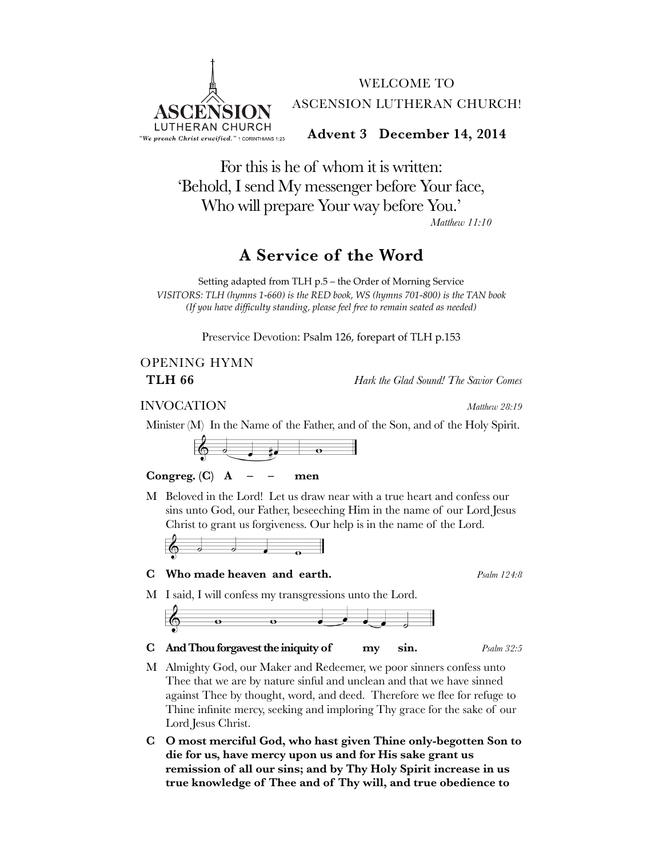

For this is he of whom it is written: 'Behold, I send My messenger before Your face, Who will prepare Your way before You.' *Matthew 11:10*

### **A Service of the Word**

Setting adapted from TLH p.5 – the Order of Morning Service *VISITORS: TLH (hymns 1-660) is the RED book, WS (hymns 701-800) is the TAN book (If you have difficulty standing, please feel free to remain seated as needed)*

Preservice Devotion: Psalm 126, forepart of TLH p.153

# OPENING HYMN

**TLH 66** *Hark the Glad Sound! The Savior Comes*

### INVOCATION *Matthew 28:19*

Minister (M) In the Name of the Father, and of the Son, and of the Holy Spirit.



### **Congreg. (C) A – – men**

M Beloved in the Lord! Let us draw near with a true heart and confess our sins unto God, our Father, beseeching Him in the name of our Lord Jesus Christ to grant us forgiveness. Our help is in the name of the Lord.



### **C Who made heaven and earth.** *Psalm 124:8*

M I said, I will confess my transgressions unto the Lord.



**C And Thou forgavest the iniquity of my sin.** *Psalm 32:5*

- M Almighty God, our Maker and Redeemer, we poor sinners confess unto Thee that we are by nature sinful and unclean and that we have sinned against Thee by thought, word, and deed. Therefore we flee for refuge to Thine infinite mercy, seeking and imploring Thy grace for the sake of our Lord Jesus Christ.
- **C O most merciful God, who hast given Thine only-begotten Son to die for us, have mercy upon us and for His sake grant us remission of all our sins; and by Thy Holy Spirit increase in us true knowledge of Thee and of Thy will, and true obedience to**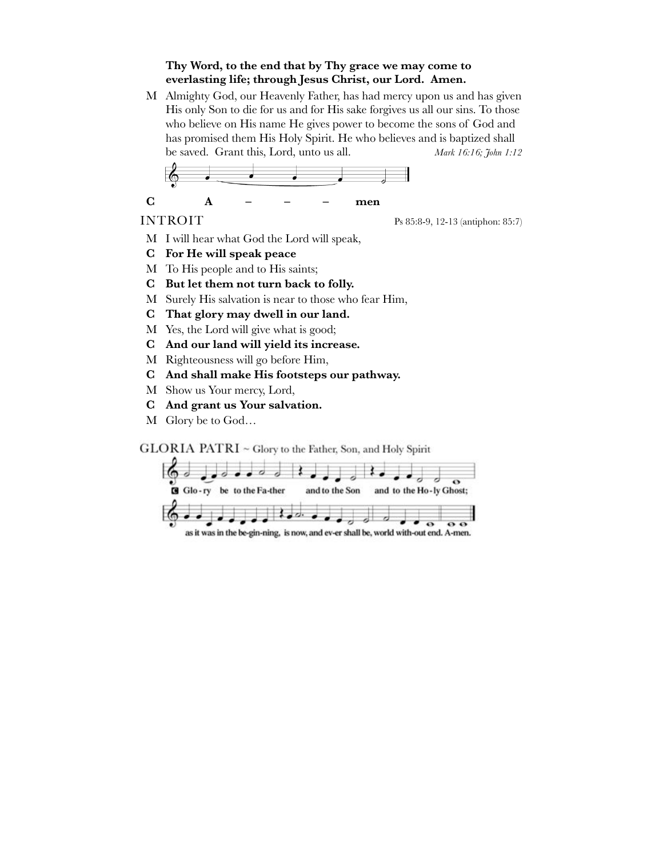### **Thy Word, to the end that by Thy grace we may come to everlasting life; through Jesus Christ, our Lord. Amen.**

M Almighty God, our Heavenly Father, has had mercy upon us and has given His only Son to die for us and for His sake forgives us all our sins. To those who believe on His name He gives power to become the sons of God and has promised them His Holy Spirit. He who believes and is baptized shall be saved. Grant this, Lord, unto us all. *Mark 16:16; John 1:12*

**C! ! A – – – men**

INTROIT Ps 85:8-9, 12-13 (antiphon: 85:7)

- M I will hear what God the Lord will speak,
- **C For He will speak peace**
- M To His people and to His saints;
- **C But let them not turn back to folly.**
- M Surely His salvation is near to those who fear Him,
- **C That glory may dwell in our land.**
- M Yes, the Lord will give what is good;
- **C And our land will yield its increase.**
- M Righteousness will go before Him,
- **C And shall make His footsteps our pathway.**
- M Show us Your mercy, Lord,
- **C And grant us Your salvation.**
- M Glory be to God…

GLORIA PATRI ~ Glory to the Father, Son, and Holy Spirit

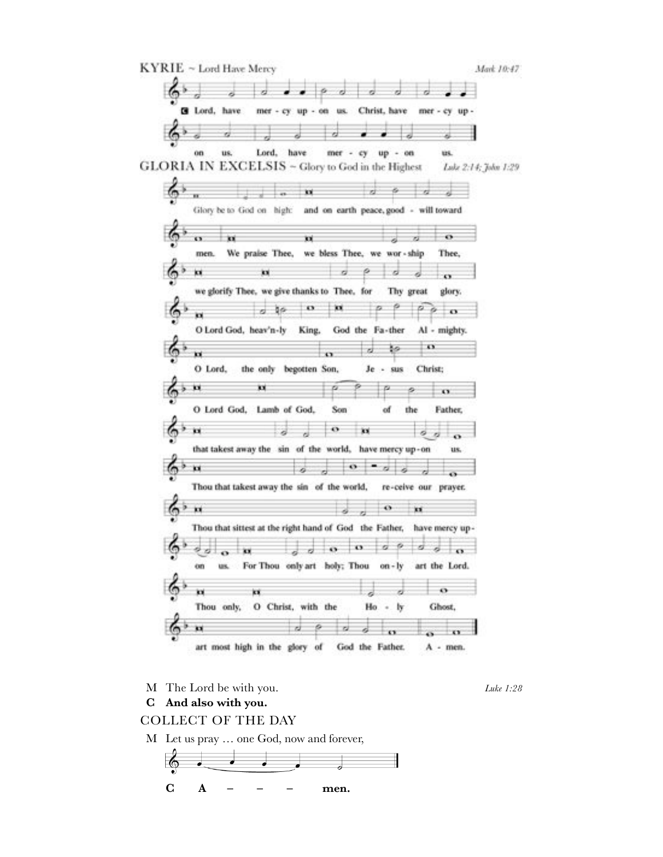

M The Lord be with you. *Luke 1:28*

**C And also with you.**

### COLLECT OF THE DAY

M Let us pray … one God, now and forever,

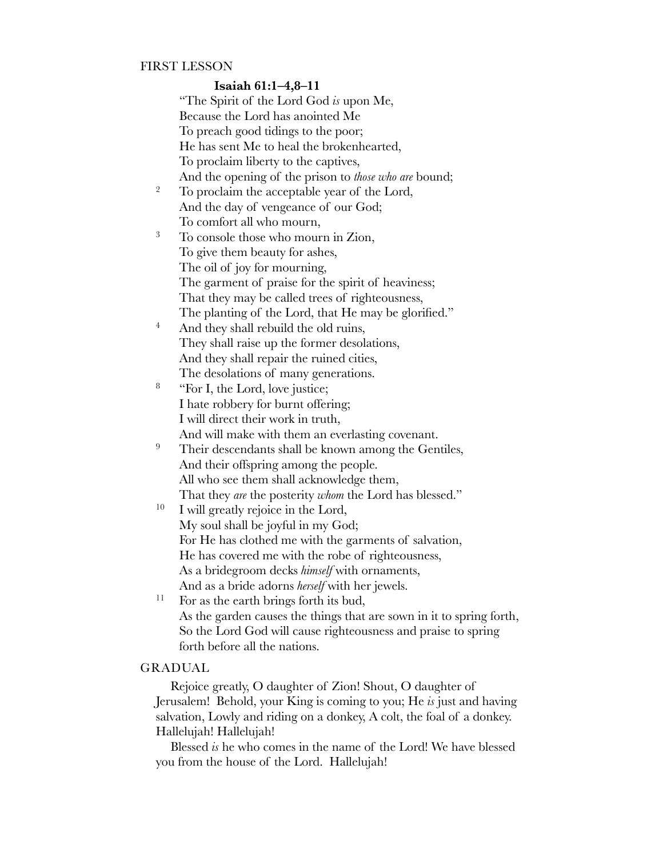### FIRST LESSON

### **Isaiah 61:1–4,8–11**

|                  | "The Spirit of the Lord God is upon Me,                              |
|------------------|----------------------------------------------------------------------|
|                  | Because the Lord has anointed Me                                     |
|                  | To preach good tidings to the poor;                                  |
|                  | He has sent Me to heal the brokenhearted,                            |
|                  | To proclaim liberty to the captives,                                 |
|                  | And the opening of the prison to those who are bound;                |
| $\boldsymbol{2}$ | To proclaim the acceptable year of the Lord,                         |
|                  | And the day of vengeance of our God;                                 |
|                  | To comfort all who mourn,                                            |
| 3                | To console those who mourn in Zion,                                  |
|                  | To give them beauty for ashes,                                       |
|                  | The oil of joy for mourning,                                         |
|                  | The garment of praise for the spirit of heaviness;                   |
|                  | That they may be called trees of righteousness,                      |
|                  | The planting of the Lord, that He may be glorified."                 |
| $\overline{4}$   | And they shall rebuild the old ruins,                                |
|                  | They shall raise up the former desolations,                          |
|                  | And they shall repair the ruined cities,                             |
|                  | The desolations of many generations.                                 |
| 8                | "For I, the Lord, love justice;                                      |
|                  | I hate robbery for burnt offering;                                   |
|                  | I will direct their work in truth,                                   |
|                  | And will make with them an everlasting covenant.                     |
| 9                | Their descendants shall be known among the Gentiles,                 |
|                  | And their offspring among the people.                                |
|                  | All who see them shall acknowledge them,                             |
|                  | That they are the posterity whom the Lord has blessed."              |
| 10               | I will greatly rejoice in the Lord,                                  |
|                  | My soul shall be joyful in my God;                                   |
|                  | For He has clothed me with the garments of salvation,                |
|                  | He has covered me with the robe of righteousness,                    |
|                  | As a bridegroom decks himself with ornaments,                        |
|                  | And as a bride adorns <i>herself</i> with her jewels.                |
| 11               | For as the earth brings forth its bud,                               |
|                  | As the garden causes the things that are sown in it to spring forth, |
|                  | So the Lord God will cause righteousness and praise to spring        |
|                  | forth before all the nations.                                        |

### GRADUAL

Rejoice greatly, O daughter of Zion! Shout, O daughter of Jerusalem! Behold, your King is coming to you; He *is* just and having salvation, Lowly and riding on a donkey, A colt, the foal of a donkey. Hallelujah! Hallelujah!

Blessed *is* he who comes in the name of the Lord! We have blessed you from the house of the Lord. Hallelujah!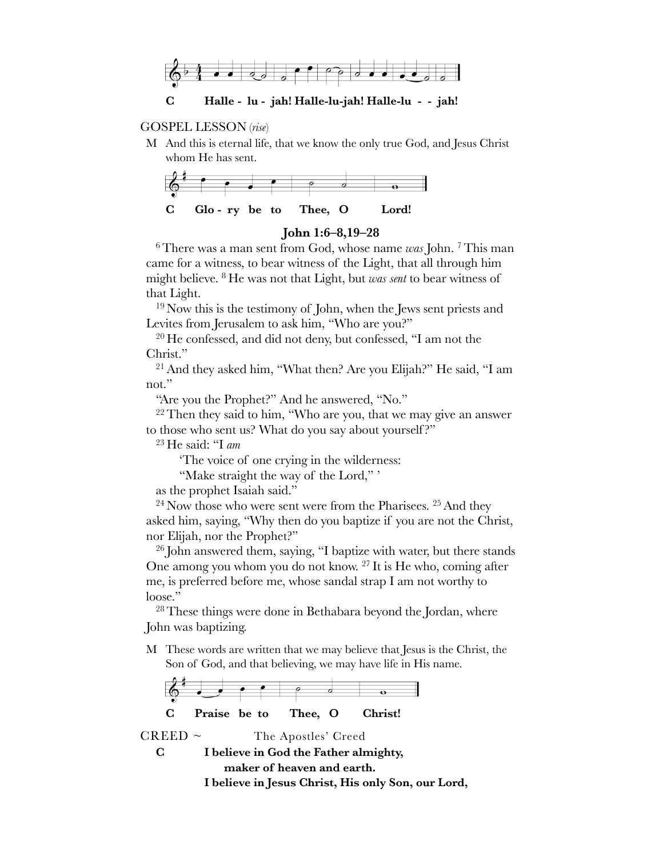

### GOSPEL LESSON (*rise*)

M And this is eternal life, that we know the only true God, and Jesus Christ whom He has sent.



### **John 1:6–8,19–28**

6There was a man sent from God, whose name *was* John. 7This man came for a witness, to bear witness of the Light, that all through him might believe. 8 He was not that Light, but *was sent* to bear witness of that Light.

<sup>19</sup> Now this is the testimony of John, when the Jews sent priests and Levites from Jerusalem to ask him, "Who are you?"

<sup>20</sup> He confessed, and did not deny, but confessed, "I am not the Christ."

21And they asked him, "What then? Are you Elijah?" He said, "I am not."

"Are you the Prophet?" And he answered, "No."

 $22$  Then they said to him, "Who are you, that we may give an answer to those who sent us? What do you say about yourself?"

<sup>23</sup> He said: "I *am*

'The voice of one crying in the wilderness:

"Make straight the way of the Lord," '

as the prophet Isaiah said."

 $24$  Now those who were sent were from the Pharisees.  $25$  And they asked him, saying, "Why then do you baptize if you are not the Christ, nor Elijah, nor the Prophet?"

 $26$  John answered them, saying, "I baptize with water, but there stands One among you whom you do not know. 27 It is He who, coming after me, is preferred before me, whose sandal strap I am not worthy to loose."

<sup>28</sup> These things were done in Bethabara beyond the Jordan, where John was baptizing.

M These words are written that we may believe that Jesus is the Christ, the Son of God, and that believing, we may have life in His name.



```
C I believe in God the Father almighty, 
    " " maker of heaven and earth.
I believe in Jesus Christ, His only Son, our Lord,
```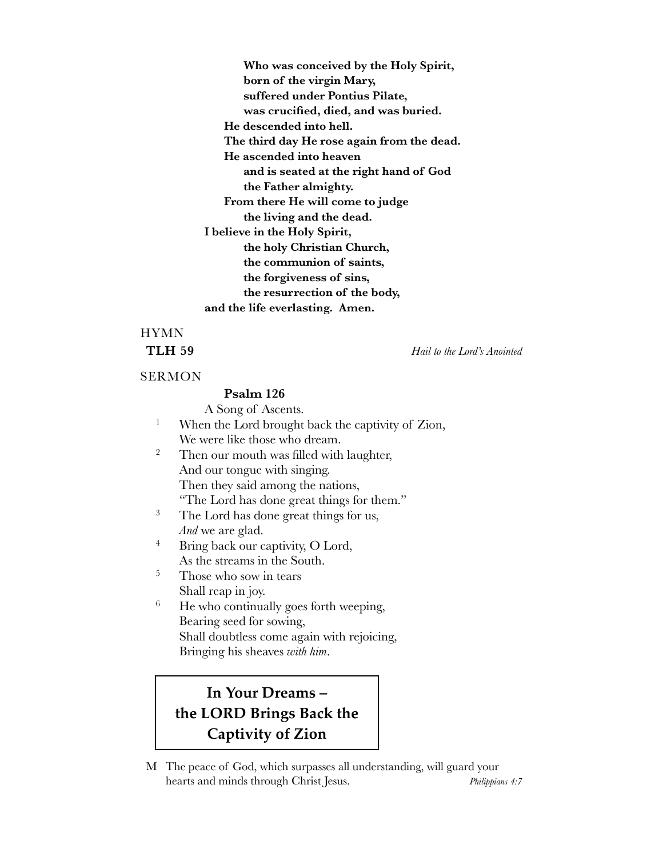**" "" Who was conceived by the Holy Spirit, " "" born of the virgin Mary, " "" suffered under Pontius Pilate, " "" was crucified, died, and was buried. " " He descended into hell. " " The third day He rose again from the dead. " " He ascended into heaven " "" and is seated at the right hand of God " "" the Father almighty. " " From there He will come to judge " "" the living and the dead. I believe in the Holy Spirit, " "" the holy Christian Church, " "" the communion of saints, " "" the forgiveness of sins, " "" the resurrection of the body, """ and the life everlasting. Amen.**

## HYMN

**TLH 59** *Hail to the Lord's Anointed*

### **SERMON**

### **Psalm 126**

A Song of Ascents. <sup>1</sup> When the Lord brought back the captivity of Zion,

We were like those who dream.

- <sup>2</sup> Then our mouth was filled with laughter, And our tongue with singing. Then they said among the nations, "The Lord has done great things for them."
- <sup>3</sup> The Lord has done great things for us, *And* we are glad.
- <sup>4</sup> Bring back our captivity, O Lord, As the streams in the South.
- <sup>5</sup> Those who sow in tears Shall reap in joy.
- <sup>6</sup> He who continually goes forth weeping, Bearing seed for sowing, Shall doubtless come again with rejoicing, Bringing his sheaves *with him*.

### **In Your Dreams – the LORD Brings Back the Captivity of Zion**

M The peace of God, which surpasses all understanding, will guard your hearts and minds through Christ Jesus. *Philippians 4:7*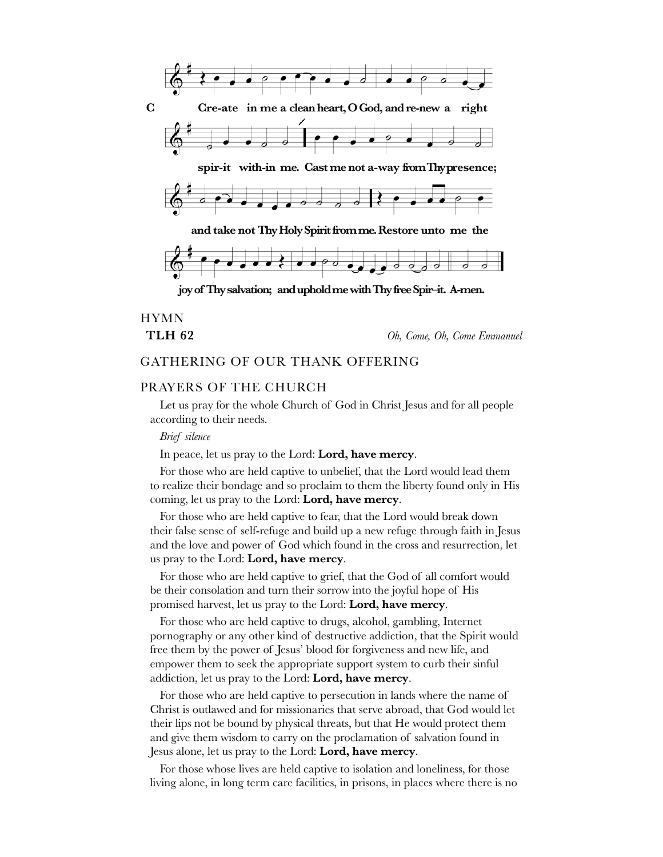

HYMN

**TLH 62** *Oh, Come, Oh, Come Emmanuel*

### GATHERING OF OUR THANK OFFERING

### PRAYERS OF THE CHURCH

Let us pray for the whole Church of God in Christ Jesus and for all people according to their needs.

#### *Brief silence*

In peace, let us pray to the Lord: **Lord, have mercy**.

For those who are held captive to unbelief, that the Lord would lead them to realize their bondage and so proclaim to them the liberty found only in His coming, let us pray to the Lord: **Lord, have mercy**.

For those who are held captive to fear, that the Lord would break down their false sense of self-refuge and build up a new refuge through faith in Jesus and the love and power of God which found in the cross and resurrection, let us pray to the Lord: **Lord, have mercy**.

For those who are held captive to grief, that the God of all comfort would be their consolation and turn their sorrow into the joyful hope of His promised harvest, let us pray to the Lord: **Lord, have mercy**.

For those who are held captive to drugs, alcohol, gambling, Internet pornography or any other kind of destructive addiction, that the Spirit would free them by the power of Jesus' blood for forgiveness and new life, and empower them to seek the appropriate support system to curb their sinful addiction, let us pray to the Lord: **Lord, have mercy**.

For those who are held captive to persecution in lands where the name of Christ is outlawed and for missionaries that serve abroad, that God would let their lips not be bound by physical threats, but that He would protect them and give them wisdom to carry on the proclamation of salvation found in Jesus alone, let us pray to the Lord: **Lord, have mercy**.

For those whose lives are held captive to isolation and loneliness, for those living alone, in long term care facilities, in prisons, in places where there is no